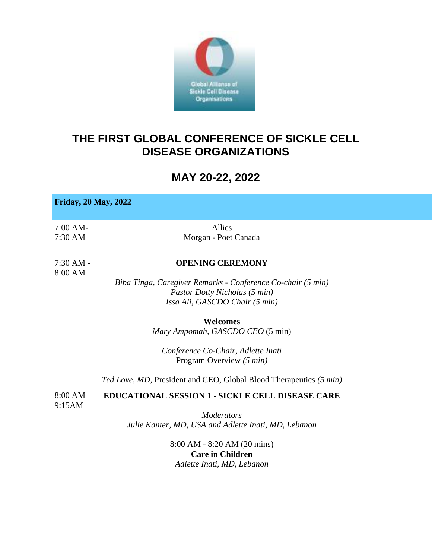

## **THE FIRST GLOBAL CONFERENCE OF SICKLE CELL DISEASE ORGANIZATIONS**

## **MAY 20-22, 2022**

| <b>Friday, 20 May, 2022</b> |                                                                                                                                                                                                                                                                                                                                                          |  |
|-----------------------------|----------------------------------------------------------------------------------------------------------------------------------------------------------------------------------------------------------------------------------------------------------------------------------------------------------------------------------------------------------|--|
| $7:00$ AM-<br>7:30 AM       | <b>Allies</b><br>Morgan - Poet Canada                                                                                                                                                                                                                                                                                                                    |  |
| $7:30 AM -$<br>8:00 AM      | <b>OPENING CEREMONY</b><br>Biba Tinga, Caregiver Remarks - Conference Co-chair (5 min)<br>Pastor Dotty Nicholas (5 min)<br>Issa Ali, GASCDO Chair (5 min)<br><b>Welcomes</b><br>Mary Ampomah, GASCDO CEO (5 min)<br>Conference Co-Chair, Adlette Inati<br>Program Overview (5 min)<br>Ted Love, MD, President and CEO, Global Blood Therapeutics (5 min) |  |
| $8:00 AM -$<br>9:15AM       | <b>EDUCATIONAL SESSION 1 - SICKLE CELL DISEASE CARE</b><br><b>Moderators</b><br>Julie Kanter, MD, USA and Adlette Inati, MD, Lebanon<br>8:00 AM - 8:20 AM (20 mins)<br><b>Care in Children</b><br>Adlette Inati, MD, Lebanon                                                                                                                             |  |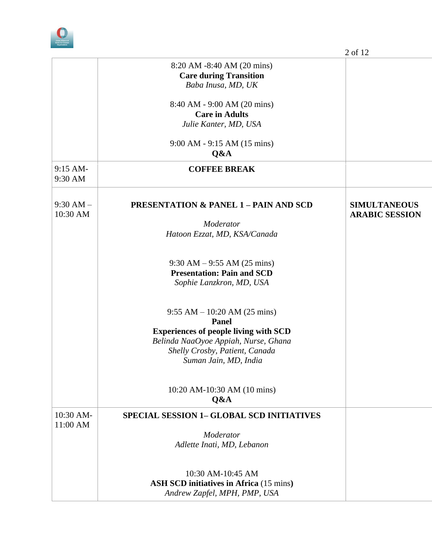

|                         |                                                                                                                                                                                                   | 2 of 12                                      |
|-------------------------|---------------------------------------------------------------------------------------------------------------------------------------------------------------------------------------------------|----------------------------------------------|
|                         | 8:20 AM -8:40 AM (20 mins)<br><b>Care during Transition</b><br>Baba Inusa, MD, UK                                                                                                                 |                                              |
|                         | 8:40 AM - 9:00 AM (20 mins)<br><b>Care in Adults</b><br>Julie Kanter, MD, USA                                                                                                                     |                                              |
|                         | 9:00 AM - 9:15 AM (15 mins)<br>Q&A                                                                                                                                                                |                                              |
| 9:15 AM-<br>9:30 AM     | <b>COFFEE BREAK</b>                                                                                                                                                                               |                                              |
| $9:30 AM -$<br>10:30 AM | <b>PRESENTATION &amp; PANEL 1 - PAIN AND SCD</b><br>Moderator<br>Hatoon Ezzat, MD, KSA/Canada                                                                                                     | <b>SIMULTANEOUS</b><br><b>ARABIC SESSION</b> |
|                         | $9:30$ AM $-9:55$ AM (25 mins)<br><b>Presentation: Pain and SCD</b><br>Sophie Lanzkron, MD, USA                                                                                                   |                                              |
|                         | $9:55 AM - 10:20 AM (25 mins)$<br><b>Panel</b><br><b>Experiences of people living with SCD</b><br>Belinda NaaOyoe Appiah, Nurse, Ghana<br>Shelly Crosby, Patient, Canada<br>Suman Jain, MD, India |                                              |
|                         | 10:20 AM-10:30 AM (10 mins)<br>Q&A                                                                                                                                                                |                                              |
| 10:30 AM-<br>11:00 AM   | <b>SPECIAL SESSION 1- GLOBAL SCD INITIATIVES</b><br>Moderator<br>Adlette Inati, MD, Lebanon                                                                                                       |                                              |
|                         | 10:30 AM-10:45 AM<br><b>ASH SCD initiatives in Africa</b> (15 mins)<br>Andrew Zapfel, MPH, PMP, USA                                                                                               |                                              |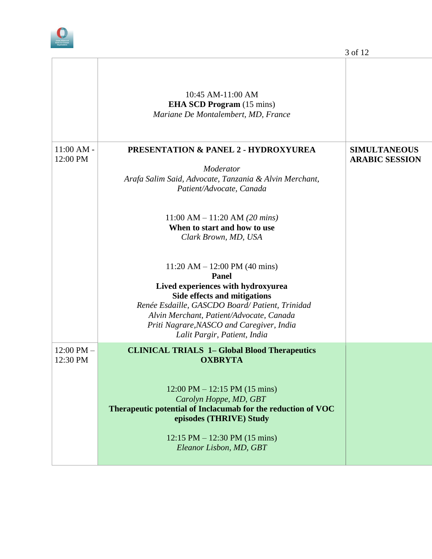

|                            |                                                                                                                                                                                                                                                                                                  | 3 of 12                                      |
|----------------------------|--------------------------------------------------------------------------------------------------------------------------------------------------------------------------------------------------------------------------------------------------------------------------------------------------|----------------------------------------------|
|                            | 10:45 AM-11:00 AM<br><b>EHA SCD Program</b> (15 mins)<br>Mariane De Montalembert, MD, France                                                                                                                                                                                                     |                                              |
| $11:00$ AM -<br>12:00 PM   | <b>PRESENTATION &amp; PANEL 2 - HYDROXYUREA</b><br>Moderator<br>Arafa Salim Said, Advocate, Tanzania & Alvin Merchant,<br>Patient/Advocate, Canada                                                                                                                                               | <b>SIMULTANEOUS</b><br><b>ARABIC SESSION</b> |
|                            | 11:00 AM $-$ 11:20 AM (20 mins)<br>When to start and how to use<br>Clark Brown, MD, USA                                                                                                                                                                                                          |                                              |
|                            | $11:20 AM - 12:00 PM (40 mins)$<br><b>Panel</b><br>Lived experiences with hydroxyurea<br>Side effects and mitigations<br>Renée Esdaille, GASCDO Board/Patient, Trinidad<br>Alvin Merchant, Patient/Advocate, Canada<br>Priti Nagrare, NASCO and Caregiver, India<br>Lalit Pargir, Patient, India |                                              |
| $12:00$ PM $-$<br>12:30 PM | <b>CLINICAL TRIALS 1- Global Blood Therapeutics</b><br><b>OXBRYTA</b><br>$12:00 \text{ PM} - 12:15 \text{ PM} (15 \text{ mins})$<br>Carolyn Hoppe, MD, GBT<br>Therapeutic potential of Inclacumab for the reduction of VOC<br>episodes (THRIVE) Study                                            |                                              |
|                            | $12:15$ PM $- 12:30$ PM (15 mins)<br>Eleanor Lisbon, MD, GBT                                                                                                                                                                                                                                     |                                              |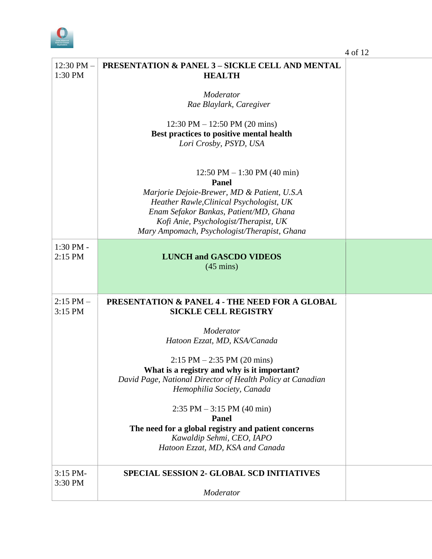

|                           |                                                                                                                                                                                                                                                                             | 4 of 12 |
|---------------------------|-----------------------------------------------------------------------------------------------------------------------------------------------------------------------------------------------------------------------------------------------------------------------------|---------|
| $12:30$ PM $-$<br>1:30 PM | <b>PRESENTATION &amp; PANEL 3 - SICKLE CELL AND MENTAL</b><br><b>HEALTH</b>                                                                                                                                                                                                 |         |
|                           | Moderator<br>Rae Blaylark, Caregiver                                                                                                                                                                                                                                        |         |
|                           | 12:30 PM $-$ 12:50 PM (20 mins)<br>Best practices to positive mental health<br>Lori Crosby, PSYD, USA                                                                                                                                                                       |         |
|                           | 12:50 PM $-$ 1:30 PM (40 min)<br><b>Panel</b><br>Marjorie Dejoie-Brewer, MD & Patient, U.S.A<br>Heather Rawle, Clinical Psychologist, UK<br>Enam Sefakor Bankas, Patient/MD, Ghana<br>Kofi Anie, Psychologist/Therapist, UK<br>Mary Ampomach, Psychologist/Therapist, Ghana |         |
| $1:30$ PM -<br>$2:15$ PM  | <b>LUNCH and GASCDO VIDEOS</b><br>$(45 \text{ mins})$                                                                                                                                                                                                                       |         |
| $2:15$ PM $-$<br>3:15 PM  | PRESENTATION & PANEL 4 - THE NEED FOR A GLOBAL<br><b>SICKLE CELL REGISTRY</b>                                                                                                                                                                                               |         |
|                           | Moderator<br>Hatoon Ezzat, MD, KSA/Canada                                                                                                                                                                                                                                   |         |
|                           | $2:15$ PM $-2:35$ PM (20 mins)<br>What is a registry and why is it important?<br>David Page, National Director of Health Policy at Canadian<br>Hemophilia Society, Canada                                                                                                   |         |
|                           | $2:35$ PM $-3:15$ PM (40 min)<br>Panel                                                                                                                                                                                                                                      |         |
|                           | The need for a global registry and patient concerns<br>Kawaldip Sehmi, CEO, IAPO<br>Hatoon Ezzat, MD, KSA and Canada                                                                                                                                                        |         |
| 3:15 PM-<br>3:30 PM       | <b>SPECIAL SESSION 2- GLOBAL SCD INITIATIVES</b>                                                                                                                                                                                                                            |         |
|                           | Moderator                                                                                                                                                                                                                                                                   |         |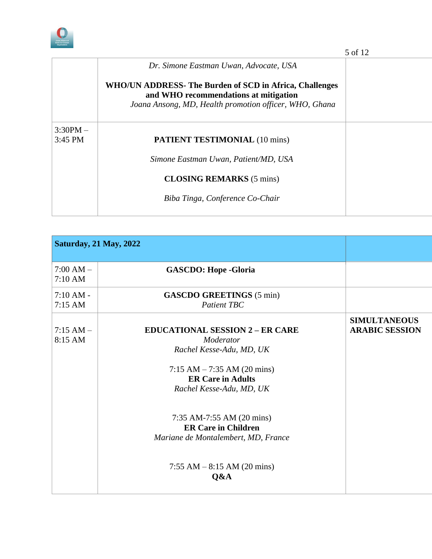

|                       |                                                                                                                                                            | 5 of 12 |
|-----------------------|------------------------------------------------------------------------------------------------------------------------------------------------------------|---------|
|                       | Dr. Simone Eastman Uwan, Advocate, USA                                                                                                                     |         |
|                       | WHO/UN ADDRESS- The Burden of SCD in Africa, Challenges<br>and WHO recommendations at mitigation<br>Joana Ansong, MD, Health promotion officer, WHO, Ghana |         |
| $3:30PM -$<br>3:45 PM | <b>PATIENT TESTIMONIAL (10 mins)</b>                                                                                                                       |         |
|                       | Simone Eastman Uwan, Patient/MD, USA                                                                                                                       |         |
|                       | <b>CLOSING REMARKS</b> (5 mins)                                                                                                                            |         |
|                       | Biba Tinga, Conference Co-Chair                                                                                                                            |         |

| <b>Saturday, 21 May, 2022</b>                                                                                                                                                                                                                                                                                 |                                              |
|---------------------------------------------------------------------------------------------------------------------------------------------------------------------------------------------------------------------------------------------------------------------------------------------------------------|----------------------------------------------|
| <b>GASCDO: Hope - Gloria</b>                                                                                                                                                                                                                                                                                  |                                              |
| <b>GASCDO GREETINGS</b> (5 min)<br><b>Patient TBC</b>                                                                                                                                                                                                                                                         |                                              |
| <b>EDUCATIONAL SESSION 2 – ER CARE</b><br>Moderator<br>Rachel Kesse-Adu, MD, UK<br>$7:15$ AM $-7:35$ AM (20 mins)<br><b>ER Care in Adults</b><br>Rachel Kesse-Adu, MD, UK<br>7:35 AM-7:55 AM (20 mins)<br><b>ER Care in Children</b><br>Mariane de Montalembert, MD, France<br>$7:55$ AM $-8:15$ AM (20 mins) | <b>SIMULTANEOUS</b><br><b>ARABIC SESSION</b> |
|                                                                                                                                                                                                                                                                                                               | Q&A                                          |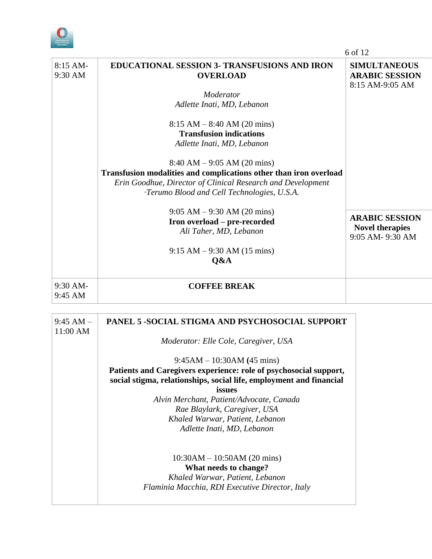

|                       |                                                                        | 6 of 12                                                         |
|-----------------------|------------------------------------------------------------------------|-----------------------------------------------------------------|
| $8:15$ AM-<br>9:30 AM | <b>EDUCATIONAL SESSION 3- TRANSFUSIONS AND IRON</b><br><b>OVERLOAD</b> | <b>SIMULTANEOUS</b><br><b>ARABIC SESSION</b><br>8:15 AM-9:05 AM |
|                       | Moderator                                                              |                                                                 |
|                       | Adlette Inati, MD, Lebanon                                             |                                                                 |
|                       | $8:15 AM - 8:40 AM (20 mins)$                                          |                                                                 |
|                       | <b>Transfusion indications</b>                                         |                                                                 |
|                       | Adlette Inati, MD, Lebanon                                             |                                                                 |
|                       | $8:40 AM - 9:05 AM (20 mins)$                                          |                                                                 |
|                       | Transfusion modalities and complications other than iron overload      |                                                                 |
|                       | Erin Goodhue, Director of Clinical Research and Development            |                                                                 |
|                       | ·Terumo Blood and Cell Technologies, U.S.A.                            |                                                                 |
|                       | $9:05$ AM $-9:30$ AM (20 mins)                                         |                                                                 |
|                       | Iron overload - pre-recorded                                           | <b>ARABIC SESSION</b>                                           |
|                       | Ali Taher, MD, Lebanon                                                 | <b>Novel therapies</b>                                          |
|                       |                                                                        | 9:05 AM-9:30 AM                                                 |
|                       | $9:15 AM - 9:30 AM (15 mins)$                                          |                                                                 |
|                       | Q&A                                                                    |                                                                 |
| $9:30$ AM-            | <b>COFFEE BREAK</b>                                                    |                                                                 |
| 9:45 AM               |                                                                        |                                                                 |

| $9:45 AM -$<br>$11:00$ AM | <b>PANEL 5 -SOCIAL STIGMA AND PSYCHOSOCIAL SUPPORT</b>              |  |
|---------------------------|---------------------------------------------------------------------|--|
|                           | Moderator: Elle Cole, Caregiver, USA                                |  |
|                           | $9:45AM - 10:30AM (45 mins)$                                        |  |
|                           | Patients and Caregivers experience: role of psychosocial support,   |  |
|                           | social stigma, relationships, social life, employment and financial |  |
|                           | issues                                                              |  |
|                           | Alvin Merchant, Patient/Advocate, Canada                            |  |
|                           | Rae Blaylark, Caregiver, USA                                        |  |
|                           | Khaled Warwar, Patient, Lebanon                                     |  |
|                           | Adlette Inati, MD, Lebanon                                          |  |
|                           | $10:30AM - 10:50AM (20 mins)$                                       |  |
|                           |                                                                     |  |
|                           | What needs to change?                                               |  |
|                           | Khaled Warwar, Patient, Lebanon                                     |  |
|                           | Flaminia Macchia, RDI Executive Director, Italy                     |  |
|                           |                                                                     |  |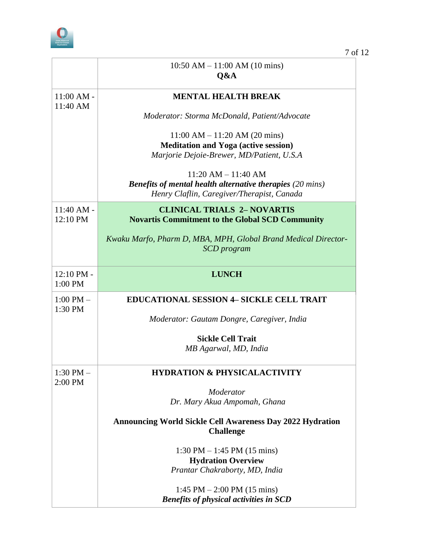

|                          | $10:50$ AM $- 11:00$ AM (10 mins)<br>Q&A                                                                                                |
|--------------------------|-----------------------------------------------------------------------------------------------------------------------------------------|
| $11:00 AM -$             | <b>MENTAL HEALTH BREAK</b>                                                                                                              |
| 11:40 AM                 | Moderator: Storma McDonald, Patient/Advocate                                                                                            |
|                          | $11:00 AM - 11:20 AM (20 mins)$                                                                                                         |
|                          | <b>Meditation and Yoga (active session)</b><br>Marjorie Dejoie-Brewer, MD/Patient, U.S.A                                                |
|                          | $11:20 AM - 11:40 AM$<br><b>Benefits of mental health alternative therapies (20 mins)</b><br>Henry Claflin, Caregiver/Therapist, Canada |
| 11:40 AM -<br>12:10 PM   | <b>CLINICAL TRIALS 2- NOVARTIS</b><br><b>Novartis Commitment to the Global SCD Community</b>                                            |
|                          | Kwaku Marfo, Pharm D, MBA, MPH, Global Brand Medical Director-<br>SCD program                                                           |
| 12:10 PM -<br>1:00 PM    | <b>LUNCH</b>                                                                                                                            |
| $1:00$ PM $-$<br>1:30 PM | <b>EDUCATIONAL SESSION 4- SICKLE CELL TRAIT</b>                                                                                         |
|                          | Moderator: Gautam Dongre, Caregiver, India                                                                                              |
|                          | <b>Sickle Cell Trait</b>                                                                                                                |
|                          | MB Agarwal, MD, India                                                                                                                   |
| $1:30$ PM $-$<br>2:00 PM | <b>HYDRATION &amp; PHYSICALACTIVITY</b>                                                                                                 |
|                          | Moderator                                                                                                                               |
|                          | Dr. Mary Akua Ampomah, Ghana                                                                                                            |
|                          | <b>Announcing World Sickle Cell Awareness Day 2022 Hydration</b><br><b>Challenge</b>                                                    |
|                          | $1:30 \text{ PM} - 1:45 \text{ PM} (15 \text{ mins})$                                                                                   |
|                          | <b>Hydration Overview</b><br>Prantar Chakraborty, MD, India                                                                             |
|                          | 1:45 PM $- 2:00$ PM (15 mins)<br><b>Benefits of physical activities in SCD</b>                                                          |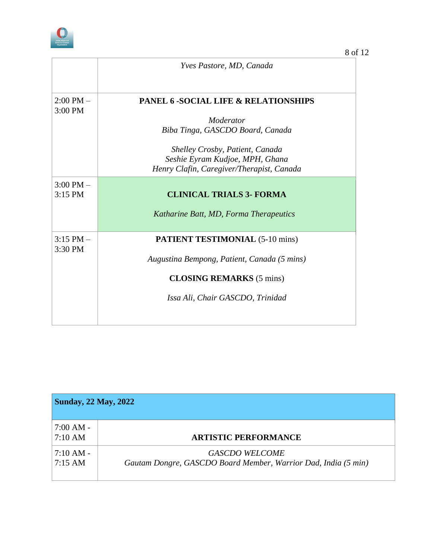

|                            | Yves Pastore, MD, Canada                                                                                        |
|----------------------------|-----------------------------------------------------------------------------------------------------------------|
| $2:00$ PM $-$<br>3:00 PM   | <b>PANEL 6 -SOCIAL LIFE &amp; RELATIONSHIPS</b>                                                                 |
|                            | Moderator                                                                                                       |
|                            | Biba Tinga, GASCDO Board, Canada                                                                                |
|                            | Shelley Crosby, Patient, Canada<br>Seshie Eyram Kudjoe, MPH, Ghana<br>Henry Clafin, Caregiver/Therapist, Canada |
| $3:00$ PM $-$<br>$3:15$ PM | <b>CLINICAL TRIALS 3- FORMA</b>                                                                                 |
|                            | Katharine Batt, MD, Forma Therapeutics                                                                          |
| $3:15$ PM $-$<br>3:30 PM   | <b>PATIENT TESTIMONIAL (5-10 mins)</b>                                                                          |
|                            | Augustina Bempong, Patient, Canada (5 mins)                                                                     |
|                            | <b>CLOSING REMARKS</b> (5 mins)                                                                                 |
|                            | Issa Ali, Chair GASCDO, Trinidad                                                                                |
|                            |                                                                                                                 |

| <b>Sunday, 22 May, 2022</b>    |                                                                                         |
|--------------------------------|-----------------------------------------------------------------------------------------|
| $7:00 \text{ AM} -$<br>7:10 AM | <b>ARTISTIC PERFORMANCE</b>                                                             |
| $7:10AM -$<br>7:15 AM          | <b>GASCDO WELCOME</b><br>Gautam Dongre, GASCDO Board Member, Warrior Dad, India (5 min) |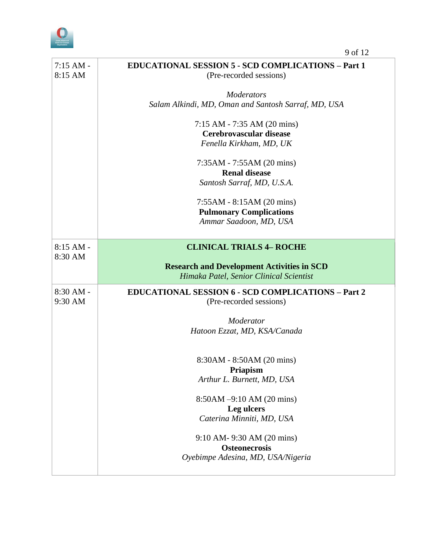

| $7:15$ AM -<br>8:15 AM | <b>EDUCATIONAL SESSION 5 - SCD COMPLICATIONS - Part 1</b><br>(Pre-recorded sessions) |
|------------------------|--------------------------------------------------------------------------------------|
|                        |                                                                                      |
|                        | <b>Moderators</b><br>Salam Alkindi, MD, Oman and Santosh Sarraf, MD, USA             |
|                        | 7:15 AM - 7:35 AM (20 mins)                                                          |
|                        | Cerebrovascular disease                                                              |
|                        | Fenella Kirkham, MD, UK                                                              |
|                        | 7:35AM - 7:55AM (20 mins)                                                            |
|                        | <b>Renal disease</b>                                                                 |
|                        | Santosh Sarraf, MD, U.S.A.                                                           |
|                        | 7:55AM - 8:15AM (20 mins)                                                            |
|                        | <b>Pulmonary Complications</b>                                                       |
|                        | Ammar Saadoon, MD, USA                                                               |
| $8:15 AM -$            | <b>CLINICAL TRIALS 4- ROCHE</b>                                                      |
| 8:30 AM                |                                                                                      |
|                        | <b>Research and Development Activities in SCD</b>                                    |
|                        | Himaka Patel, Senior Clinical Scientist                                              |
| $8:30$ AM -<br>9:30 AM | <b>EDUCATIONAL SESSION 6 - SCD COMPLICATIONS - Part 2</b><br>(Pre-recorded sessions) |
|                        |                                                                                      |
|                        | Moderator<br>Hatoon Ezzat, MD, KSA/Canada                                            |
|                        |                                                                                      |
|                        | 8:30AM - 8:50AM (20 mins)                                                            |
|                        | Priapism                                                                             |
|                        | Arthur L. Burnett, MD, USA                                                           |
|                        | $8:50AM - 9:10 AM (20 mins)$                                                         |
|                        | Leg ulcers                                                                           |
|                        | Caterina Minniti, MD, USA                                                            |
|                        | 9:10 AM- 9:30 AM (20 mins)                                                           |
|                        | <b>Osteonecrosis</b><br>Oyebimpe Adesina, MD, USA/Nigeria                            |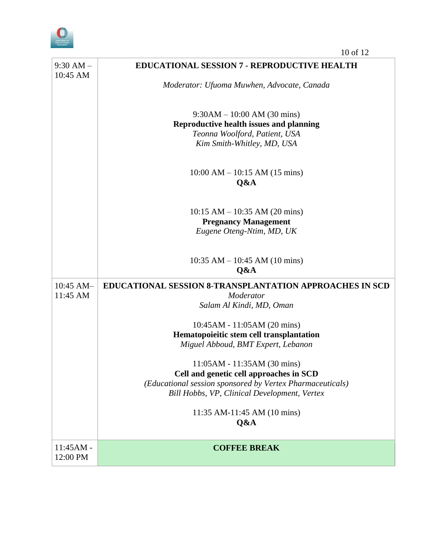

| $9:30 AM -$<br>10:45 AM | <b>EDUCATIONAL SESSION 7 - REPRODUCTIVE HEALTH</b>                                                                                                                                  |
|-------------------------|-------------------------------------------------------------------------------------------------------------------------------------------------------------------------------------|
|                         | Moderator: Ufuoma Muwhen, Advocate, Canada                                                                                                                                          |
|                         | $9:30AM - 10:00 AM (30 mins)$<br>Reproductive health issues and planning<br>Teonna Woolford, Patient, USA<br>Kim Smith-Whitley, MD, USA                                             |
|                         | $10:00$ AM $- 10:15$ AM (15 mins)<br>Q&A                                                                                                                                            |
|                         | $10:15$ AM $- 10:35$ AM (20 mins)<br><b>Pregnancy Management</b><br>Eugene Oteng-Ntim, MD, UK                                                                                       |
|                         | 10:35 AM $-$ 10:45 AM (10 mins)<br>Q&A                                                                                                                                              |
| 10:45 AM-<br>11:45 AM   | <b>EDUCATIONAL SESSION 8-TRANSPLANTATION APPROACHES IN SCD</b><br>Moderator<br>Salam Al Kindi, MD, Oman                                                                             |
|                         | 10:45AM - 11:05AM (20 mins)<br>Hematopoieitic stem cell transplantation<br>Miguel Abboud, BMT Expert, Lebanon                                                                       |
|                         | 11:05AM - 11:35AM (30 mins)<br>Cell and genetic cell approaches in SCD<br>(Educational session sponsored by Vertex Pharmaceuticals)<br>Bill Hobbs, VP, Clinical Development, Vertex |
|                         | 11:35 AM-11:45 AM (10 mins)<br>Q&A                                                                                                                                                  |
| $11:45AM -$<br>12:00 PM | <b>COFFEE BREAK</b>                                                                                                                                                                 |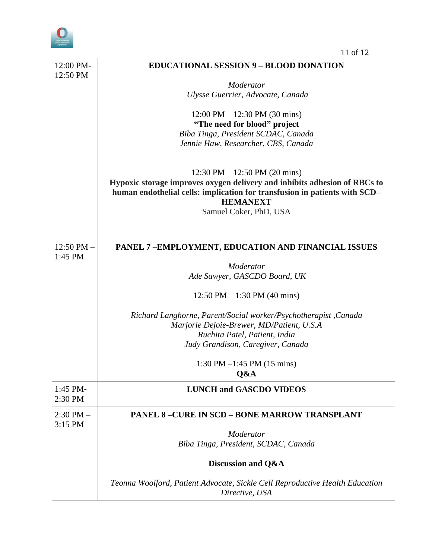

| 12:00 PM-<br>12:50 PM    | <b>EDUCATIONAL SESSION 9 - BLOOD DONATION</b>                                                                                                                              |
|--------------------------|----------------------------------------------------------------------------------------------------------------------------------------------------------------------------|
|                          | Moderator                                                                                                                                                                  |
|                          | Ulysse Guerrier, Advocate, Canada                                                                                                                                          |
|                          | $12:00 \text{ PM} - 12:30 \text{ PM} (30 \text{ mins})$                                                                                                                    |
|                          | "The need for blood" project                                                                                                                                               |
|                          | Biba Tinga, President SCDAC, Canada                                                                                                                                        |
|                          | Jennie Haw, Researcher, CBS, Canada                                                                                                                                        |
|                          | 12:30 PM $-$ 12:50 PM (20 mins)                                                                                                                                            |
|                          | Hypoxic storage improves oxygen delivery and inhibits adhesion of RBCs to<br>human endothelial cells: implication for transfusion in patients with SCD-<br><b>HEMANEXT</b> |
|                          | Samuel Coker, PhD, USA                                                                                                                                                     |
|                          |                                                                                                                                                                            |
| 12:50 PM $-$<br>1:45 PM  | PANEL 7-EMPLOYMENT, EDUCATION AND FINANCIAL ISSUES                                                                                                                         |
|                          | Moderator                                                                                                                                                                  |
|                          | Ade Sawyer, GASCDO Board, UK                                                                                                                                               |
|                          | 12:50 PM $-$ 1:30 PM (40 mins)                                                                                                                                             |
|                          | Richard Langhorne, Parent/Social worker/Psychotherapist, Canada                                                                                                            |
|                          | Marjorie Dejoie-Brewer, MD/Patient, U.S.A                                                                                                                                  |
|                          | Ruchita Patel, Patient, India                                                                                                                                              |
|                          | Judy Grandison, Caregiver, Canada                                                                                                                                          |
|                          | 1:30 PM $-1:45$ PM (15 mins)                                                                                                                                               |
|                          | Q&A                                                                                                                                                                        |
| 1:45 PM-<br>2:30 PM      | <b>LUNCH and GASCDO VIDEOS</b>                                                                                                                                             |
| $2:30$ PM $-$<br>3:15 PM | <b>PANEL 8-CURE IN SCD-BONE MARROW TRANSPLANT</b>                                                                                                                          |
|                          | Moderator                                                                                                                                                                  |
|                          | Biba Tinga, President, SCDAC, Canada                                                                                                                                       |
|                          | Discussion and Q&A                                                                                                                                                         |
|                          | Teonna Woolford, Patient Advocate, Sickle Cell Reproductive Health Education<br>Directive, USA                                                                             |